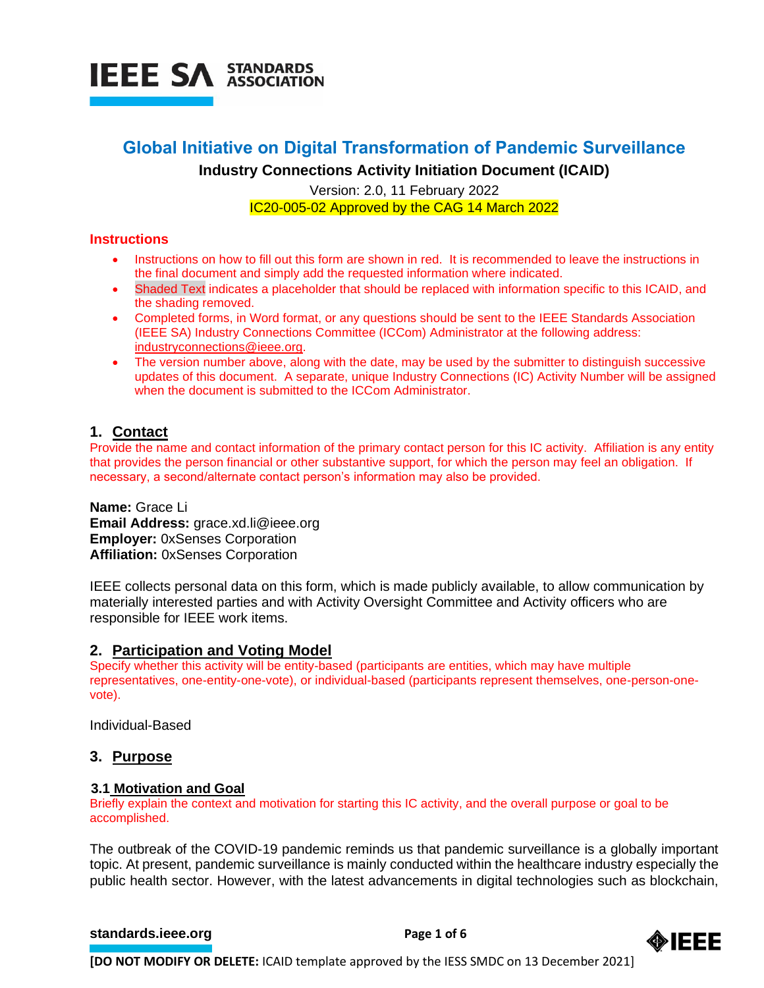

# **Global Initiative on Digital Transformation of Pandemic Surveillance**

**Industry Connections Activity Initiation Document (ICAID)**

Version: 2.0, 11 February 2022 IC20-005-02 Approved by the CAG 14 March 2022

#### **Instructions**

- Instructions on how to fill out this form are shown in red. It is recommended to leave the instructions in the final document and simply add the requested information where indicated.
- Shaded Text indicates a placeholder that should be replaced with information specific to this ICAID, and the shading removed.
- Completed forms, in Word format, or any questions should be sent to the IEEE Standards Association (IEEE SA) Industry Connections Committee (ICCom) Administrator at the following address: [industryconnections@ieee.org.](mailto:industryconnections@ieee.org)
- The version number above, along with the date, may be used by the submitter to distinguish successive updates of this document. A separate, unique Industry Connections (IC) Activity Number will be assigned when the document is submitted to the ICCom Administrator.

# **1. Contact**

Provide the name and contact information of the primary contact person for this IC activity. Affiliation is any entity that provides the person financial or other substantive support, for which the person may feel an obligation. If necessary, a second/alternate contact person's information may also be provided.

**Name:** Grace Li **Email Address:** grace.xd.li@ieee.org **Employer:** 0xSenses Corporation **Affiliation:** 0xSenses Corporation

IEEE collects personal data on this form, which is made publicly available, to allow communication by materially interested parties and with Activity Oversight Committee and Activity officers who are responsible for IEEE work items.

# **2. Participation and Voting Model**

Specify whether this activity will be entity-based (participants are entities, which may have multiple representatives, one-entity-one-vote), or individual-based (participants represent themselves, one-person-onevote).

Individual-Based

# **3. Purpose**

#### **3.1 Motivation and Goal**

Briefly explain the context and motivation for starting this IC activity, and the overall purpose or goal to be accomplished.

The outbreak of the COVID-19 pandemic reminds us that pandemic surveillance is a globally important topic. At present, pandemic surveillance is mainly conducted within the healthcare industry especially the public health sector. However, with the latest advancements in digital technologies such as blockchain,

#### **[standards.ieee.org](http://standards.ieee.org/) example 2 Page 1 of 6**



**[DO NOT MODIFY OR DELETE:** ICAID template approved by the IESS SMDC on 13 December 2021]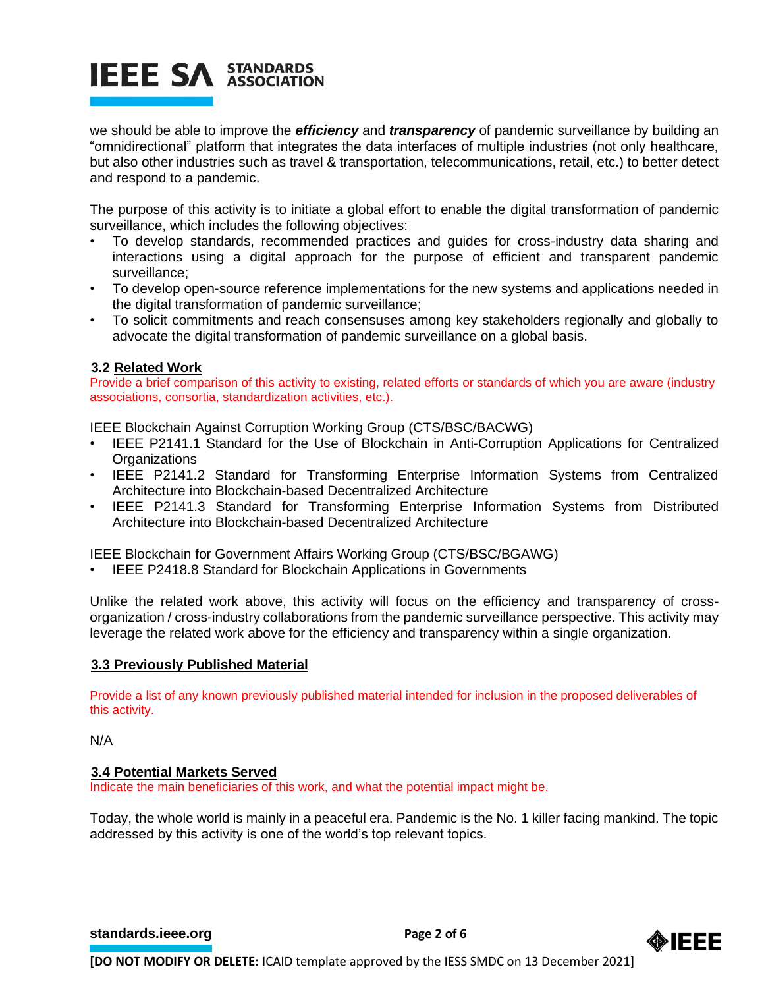# **IEEE SA STANDARDS**

we should be able to improve the *efficiency* and *transparency* of pandemic surveillance by building an "omnidirectional" platform that integrates the data interfaces of multiple industries (not only healthcare, but also other industries such as travel & transportation, telecommunications, retail, etc.) to better detect and respond to a pandemic.

The purpose of this activity is to initiate a global effort to enable the digital transformation of pandemic surveillance, which includes the following objectives:

- To develop standards, recommended practices and guides for cross-industry data sharing and interactions using a digital approach for the purpose of efficient and transparent pandemic surveillance;
- To develop open-source reference implementations for the new systems and applications needed in the digital transformation of pandemic surveillance;
- To solicit commitments and reach consensuses among key stakeholders regionally and globally to advocate the digital transformation of pandemic surveillance on a global basis.

# **3.2 Related Work**

Provide a brief comparison of this activity to existing, related efforts or standards of which you are aware (industry associations, consortia, standardization activities, etc.).

IEEE Blockchain Against Corruption Working Group (CTS/BSC/BACWG)

- IEEE P2141.1 Standard for the Use of Blockchain in Anti-Corruption Applications for Centralized **Organizations**
- IEEE P2141.2 Standard for Transforming Enterprise Information Systems from Centralized Architecture into Blockchain-based Decentralized Architecture
- IEEE P2141.3 Standard for Transforming Enterprise Information Systems from Distributed Architecture into Blockchain-based Decentralized Architecture

IEEE Blockchain for Government Affairs Working Group (CTS/BSC/BGAWG)

• IEEE P2418.8 Standard for Blockchain Applications in Governments

Unlike the related work above, this activity will focus on the efficiency and transparency of crossorganization / cross-industry collaborations from the pandemic surveillance perspective. This activity may leverage the related work above for the efficiency and transparency within a single organization.

# **3.3 Previously Published Material**

Provide a list of any known previously published material intended for inclusion in the proposed deliverables of this activity.

N/A

#### **3.4 Potential Markets Served**

Indicate the main beneficiaries of this work, and what the potential impact might be.

Today, the whole world is mainly in a peaceful era. Pandemic is the No. 1 killer facing mankind. The topic addressed by this activity is one of the world's top relevant topics.

**[standards.ieee.org](http://standards.ieee.org/)**<br> **Page 2 of 6** 

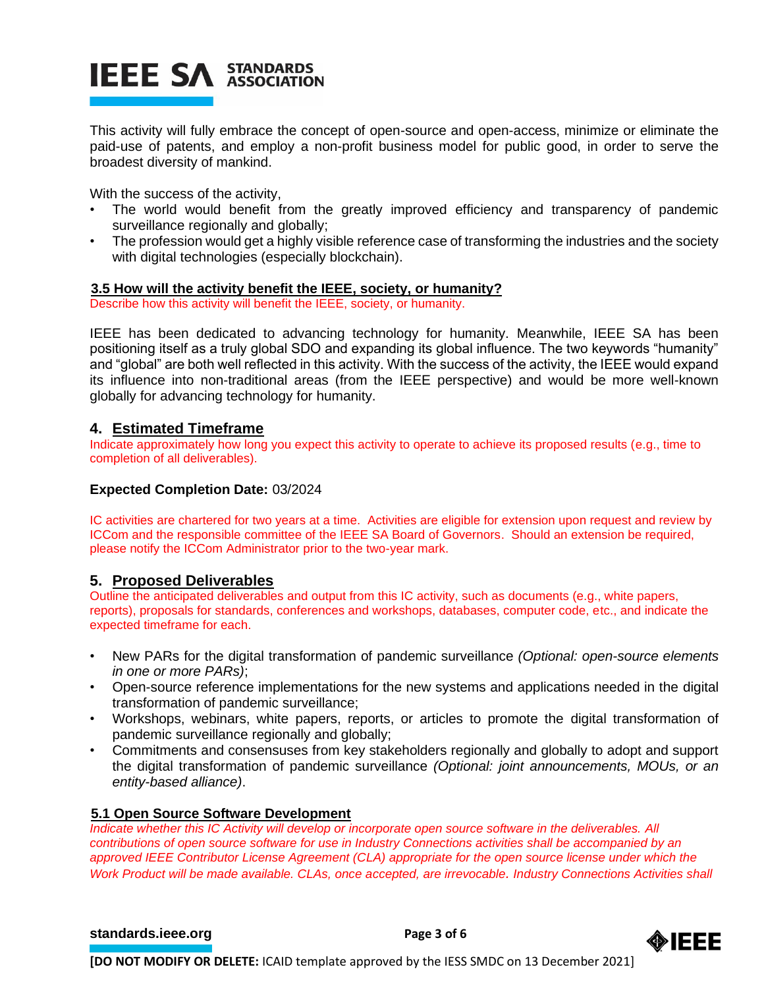# **IEEE SA STANDARDS**

This activity will fully embrace the concept of open-source and open-access, minimize or eliminate the paid-use of patents, and employ a non-profit business model for public good, in order to serve the broadest diversity of mankind.

With the success of the activity,

- The world would benefit from the greatly improved efficiency and transparency of pandemic surveillance regionally and globally;
- The profession would get a highly visible reference case of transforming the industries and the society with digital technologies (especially blockchain).

#### **3.5 How will the activity benefit the IEEE, society, or humanity?**

Describe how this activity will benefit the IEEE, society, or humanity.

IEEE has been dedicated to advancing technology for humanity. Meanwhile, IEEE SA has been positioning itself as a truly global SDO and expanding its global influence. The two keywords "humanity" and "global" are both well reflected in this activity. With the success of the activity, the IEEE would expand its influence into non-traditional areas (from the IEEE perspective) and would be more well-known globally for advancing technology for humanity.

# **4. Estimated Timeframe**

Indicate approximately how long you expect this activity to operate to achieve its proposed results (e.g., time to completion of all deliverables).

#### **Expected Completion Date:** 03/2024

IC activities are chartered for two years at a time. Activities are eligible for extension upon request and review by ICCom and the responsible committee of the IEEE SA Board of Governors. Should an extension be required, please notify the ICCom Administrator prior to the two-year mark.

# **5. Proposed Deliverables**

Outline the anticipated deliverables and output from this IC activity, such as documents (e.g., white papers, reports), proposals for standards, conferences and workshops, databases, computer code, etc., and indicate the expected timeframe for each.

- New PARs for the digital transformation of pandemic surveillance *(Optional: open-source elements in one or more PARs)*;
- Open-source reference implementations for the new systems and applications needed in the digital transformation of pandemic surveillance;
- Workshops, webinars, white papers, reports, or articles to promote the digital transformation of pandemic surveillance regionally and globally;
- Commitments and consensuses from key stakeholders regionally and globally to adopt and support the digital transformation of pandemic surveillance *(Optional: joint announcements, MOUs, or an entity-based alliance)*.

#### **5.1 Open Source Software Development**

*Indicate whether this IC Activity will develop or incorporate open source software in the deliverables. All contributions of open source software for use in Industry Connections activities shall be accompanied by an approved IEEE Contributor License Agreement (CLA) appropriate for the open source license under which the Work Product will be made available. CLAs, once accepted, are irrevocable. Industry Connections Activities shall* 

#### **[standards.ieee.org](http://standards.ieee.org/) EXECUTE: Page 3 of 6**

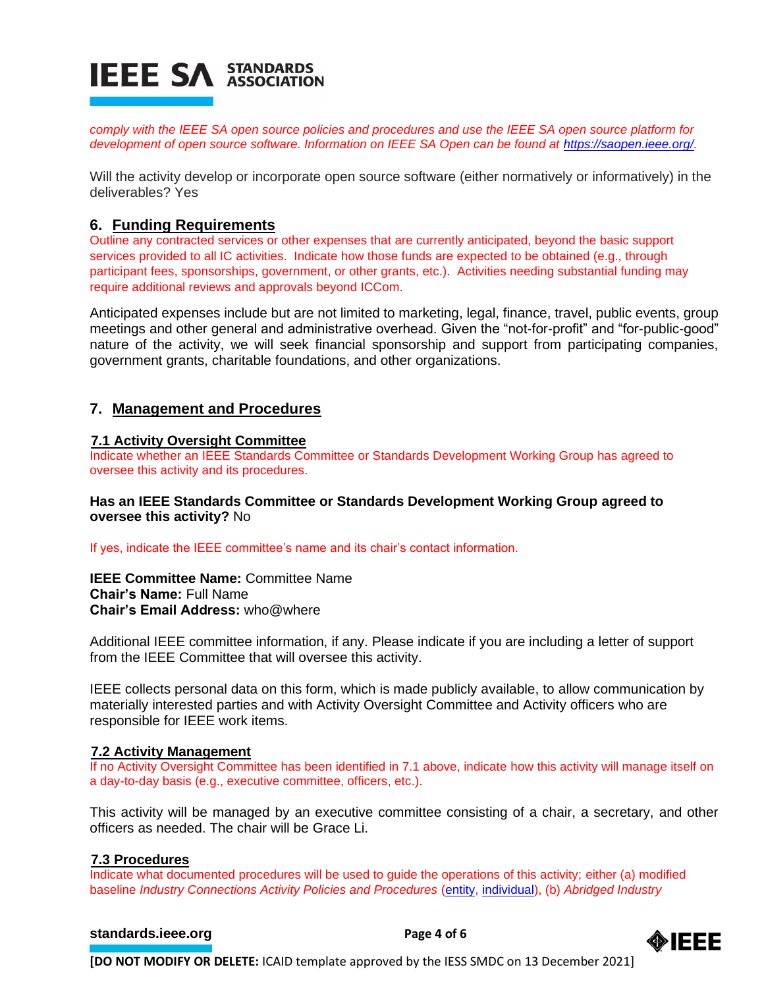

*comply with the IEEE SA open source policies and procedures and use the IEEE SA open source platform for development of open source software. Information on IEEE SA Open can be found at [https://saopen.ieee.org/.](https://saopen.ieee.org/)* 

Will the activity develop or incorporate open source software (either normatively or informatively) in the deliverables? Yes

# **6. Funding Requirements**

Outline any contracted services or other expenses that are currently anticipated, beyond the basic support services provided to all IC activities. Indicate how those funds are expected to be obtained (e.g., through participant fees, sponsorships, government, or other grants, etc.). Activities needing substantial funding may require additional reviews and approvals beyond ICCom.

Anticipated expenses include but are not limited to marketing, legal, finance, travel, public events, group meetings and other general and administrative overhead. Given the "not-for-profit" and "for-public-good" nature of the activity, we will seek financial sponsorship and support from participating companies, government grants, charitable foundations, and other organizations.

# **7. Management and Procedures**

#### **7.1 Activity Oversight Committee**

Indicate whether an IEEE Standards Committee or Standards Development Working Group has agreed to oversee this activity and its procedures.

#### **Has an IEEE Standards Committee or Standards Development Working Group agreed to oversee this activity?** No

If yes, indicate the IEEE committee's name and its chair's contact information.

**IEEE Committee Name:** Committee Name **Chair's Name:** Full Name **Chair's Email Address:** who@where

Additional IEEE committee information, if any. Please indicate if you are including a letter of support from the IEEE Committee that will oversee this activity.

IEEE collects personal data on this form, which is made publicly available, to allow communication by materially interested parties and with Activity Oversight Committee and Activity officers who are responsible for IEEE work items.

#### **7.2 Activity Management**

If no Activity Oversight Committee has been identified in 7.1 above, indicate how this activity will manage itself on a day-to-day basis (e.g., executive committee, officers, etc.).

This activity will be managed by an executive committee consisting of a chair, a secretary, and other officers as needed. The chair will be Grace Li.

#### **7.3 Procedures**

Indicate what documented procedures will be used to guide the operations of this activity; either (a) modified baseline *Industry Connections Activity Policies and Procedures* [\(entity,](https://standards.ieee.org/content/dam/ieee-standards/standards/web/governance/iccom/IC_Activity_PNP_Entity_Baseline.doc) [individual\)](https://standards.ieee.org/content/dam/ieee-standards/standards/web/governance/iccom/IC_Activity_PNP_Individual_Baseline.doc), (b) *Abridged Industry* 

#### **[standards.ieee.org](http://standards.ieee.org/) Brandards.ieee.org Brandards.ieee.org Brandards.ieee.org Brandards.ieee.org Brandards.ieee.org Brandards.ieee.org Brandards.ieee.org Brandards.ieee.org Brandards.ieee.org Brandards.i**



**[DO NOT MODIFY OR DELETE:** ICAID template approved by the IESS SMDC on 13 December 2021]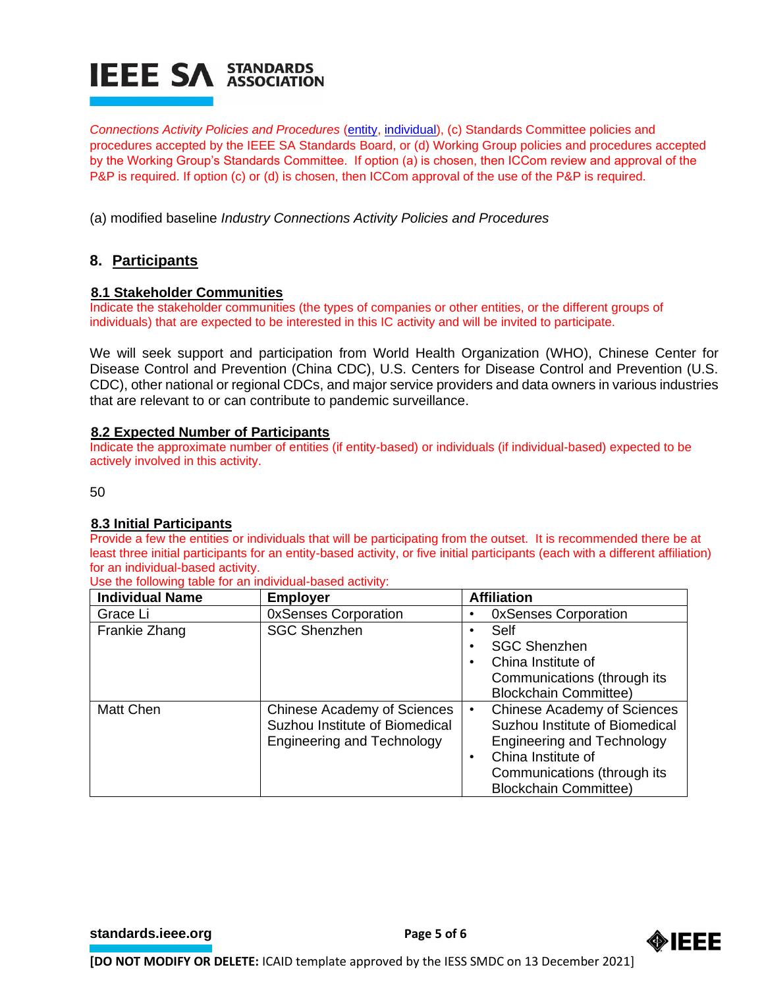# **IEEE SA STANDARDS**

*Connections Activity Policies and Procedures* [\(entity,](https://standards.ieee.org/content/dam/ieee-standards/standards/web/governance/iccom/IC_Activity_PP_Abridged_Entity.doc) [individual\)](https://standards.ieee.org/content/dam/ieee-standards/standards/web/governance/iccom/IC_Activity_PP_Abridged_Individual.doc), (c) Standards Committee policies and procedures accepted by the IEEE SA Standards Board, or (d) Working Group policies and procedures accepted by the Working Group's Standards Committee. If option (a) is chosen, then ICCom review and approval of the P&P is required. If option (c) or (d) is chosen, then ICCom approval of the use of the P&P is required.

(a) modified baseline *Industry Connections Activity Policies and Procedures*

# **8. Participants**

#### **8.1 Stakeholder Communities**

Indicate the stakeholder communities (the types of companies or other entities, or the different groups of individuals) that are expected to be interested in this IC activity and will be invited to participate.

We will seek support and participation from World Health Organization (WHO), Chinese Center for Disease Control and Prevention (China CDC), U.S. Centers for Disease Control and Prevention (U.S. CDC), other national or regional CDCs, and major service providers and data owners in various industries that are relevant to or can contribute to pandemic surveillance.

#### **8.2 Expected Number of Participants**

Indicate the approximate number of entities (if entity-based) or individuals (if individual-based) expected to be actively involved in this activity.

50

# **8.3 Initial Participants**

Provide a few the entities or individuals that will be participating from the outset. It is recommended there be at least three initial participants for an entity-based activity, or five initial participants (each with a different affiliation) for an individual-based activity.

Use the following table for an individual-based activity:

| <b>Individual Name</b> | <b>Employer</b>                    | <b>Affiliation</b>                              |  |
|------------------------|------------------------------------|-------------------------------------------------|--|
| Grace Li               | <b>OxSenses Corporation</b>        | <b>OxSenses Corporation</b>                     |  |
| Frankie Zhang          | <b>SGC Shenzhen</b>                | Self<br>٠                                       |  |
|                        |                                    | <b>SGC Shenzhen</b><br>٠                        |  |
|                        |                                    | China Institute of<br>٠                         |  |
|                        |                                    | Communications (through its                     |  |
|                        |                                    | <b>Blockchain Committee)</b>                    |  |
| Matt Chen              | <b>Chinese Academy of Sciences</b> | <b>Chinese Academy of Sciences</b><br>$\bullet$ |  |
|                        | Suzhou Institute of Biomedical     | Suzhou Institute of Biomedical                  |  |
|                        | <b>Engineering and Technology</b>  | <b>Engineering and Technology</b>               |  |
|                        |                                    | China Institute of<br>$\bullet$                 |  |
|                        |                                    | Communications (through its                     |  |
|                        |                                    | <b>Blockchain Committee)</b>                    |  |

**[standards.ieee.org](http://standards.ieee.org/) EXECUTE: Page 5 of 6**